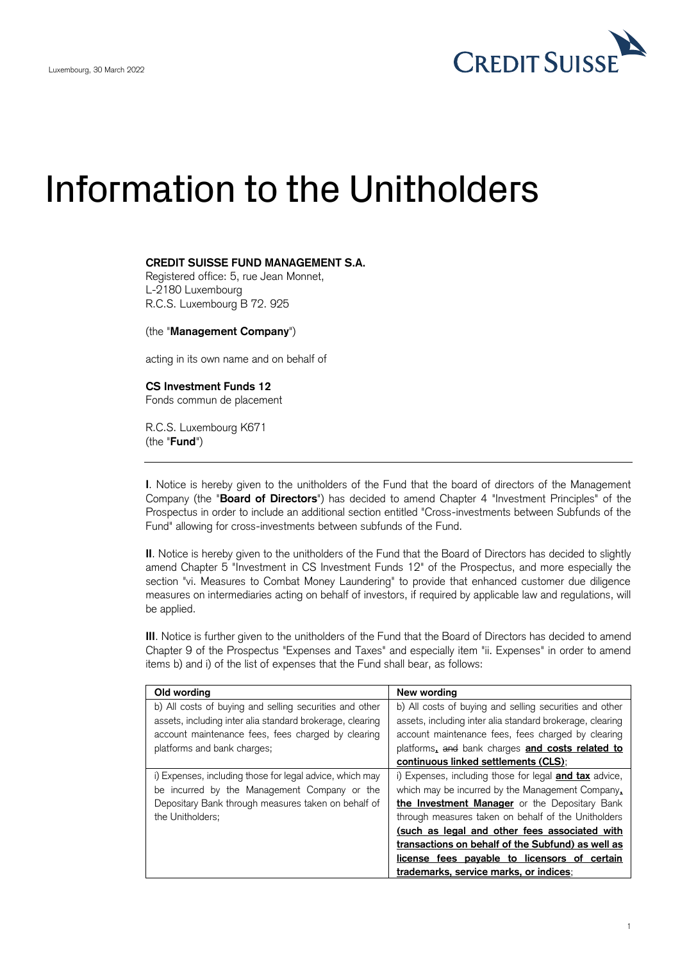

## Information to the Unitholders

## **CREDIT SUISSE FUND MANAGEMENT S.A.**

Registered office: 5, rue Jean Monnet, L-2180 Luxembourg R.C.S. Luxembourg B 72. 925

(the "**Management Company**")

acting in its own name and on behalf of

## **CS Investment Funds 12**

Fonds commun de placement

R.C.S. Luxembourg K671 (the "**Fund**")

**I**. Notice is hereby given to the unitholders of the Fund that the board of directors of the Management Company (the "**Board of Directors**") has decided to amend Chapter 4 "Investment Principles" of the Prospectus in order to include an additional section entitled "Cross-investments between Subfunds of the Fund" allowing for cross-investments between subfunds of the Fund.

**II**. Notice is hereby given to the unitholders of the Fund that the Board of Directors has decided to slightly amend Chapter 5 "Investment in CS Investment Funds 12" of the Prospectus, and more especially the section "vi. Measures to Combat Money Laundering" to provide that enhanced customer due diligence measures on intermediaries acting on behalf of investors, if required by applicable law and regulations, will be applied.

**III**. Notice is further given to the unitholders of the Fund that the Board of Directors has decided to amend Chapter 9 of the Prospectus "Expenses and Taxes" and especially item "ii. Expenses" in order to amend items b) and i) of the list of expenses that the Fund shall bear, as follows:

| Old wording                                               | New wording                                                   |
|-----------------------------------------------------------|---------------------------------------------------------------|
| b) All costs of buying and selling securities and other   | b) All costs of buying and selling securities and other       |
| assets, including inter alia standard brokerage, clearing | assets, including inter alia standard brokerage, clearing     |
| account maintenance fees, fees charged by clearing        | account maintenance fees, fees charged by clearing            |
| platforms and bank charges;                               | platforms, and bank charges and costs related to              |
|                                                           | continuous linked settlements (CLS):                          |
| i) Expenses, including those for legal advice, which may  | i) Expenses, including those for legal <b>and tax</b> advice, |
| be incurred by the Management Company or the              | which may be incurred by the Management Company.              |
| Depositary Bank through measures taken on behalf of       | the Investment Manager or the Depositary Bank                 |
| the Unitholders;                                          | through measures taken on behalf of the Unitholders           |
|                                                           | (such as legal and other fees associated with                 |
|                                                           | transactions on behalf of the Subfund) as well as             |
|                                                           | license fees payable to licensors of certain                  |
|                                                           | trademarks, service marks, or indices;                        |